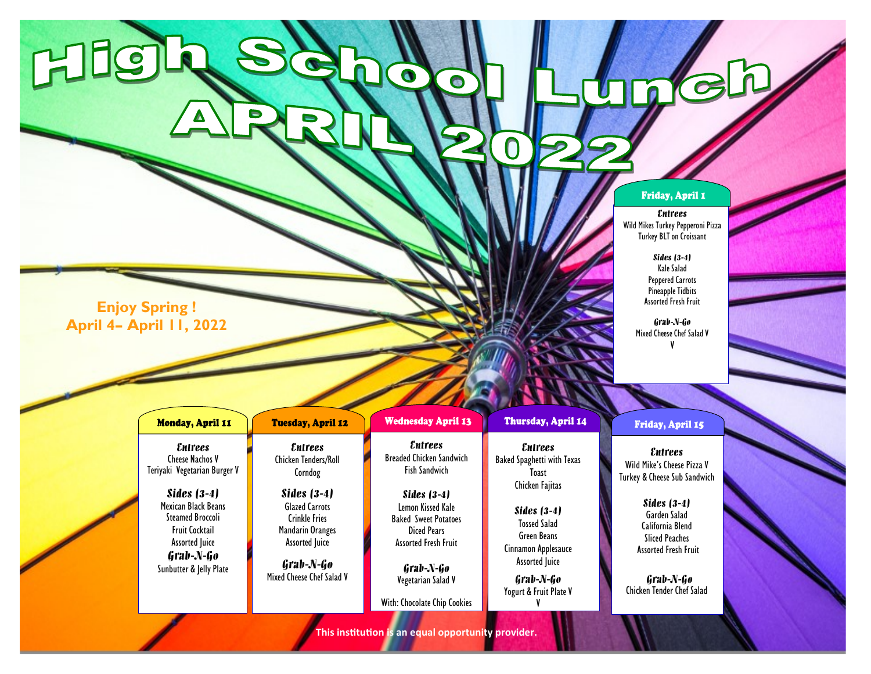## Friday, April 1

## *Entrees*

Wild Mikes Turkey Pepperoni Pizza Turkey BLT on Croissant

> *Sides (3-4)* Kale Salad Peppered Carrots Pineapple Tidbits Assorted Fresh Fruit

*Grab-N-Go* Mixed Cheese Chef Salad V V

**Enjoy Spring ! April 4– April 11, 2022**

Hillein

| Monday, April 11                                                                                                                                                                                                                      | <b>Tuesday, April 12</b>                                                                                                                                                                                                 | <b>Wednesday April 13</b>                                                                                                                                                                                                                                              | Thursday, April 14                                                                                                                                                                                                                 | Friday, April 15                                                                                                                                                                                                                                |
|---------------------------------------------------------------------------------------------------------------------------------------------------------------------------------------------------------------------------------------|--------------------------------------------------------------------------------------------------------------------------------------------------------------------------------------------------------------------------|------------------------------------------------------------------------------------------------------------------------------------------------------------------------------------------------------------------------------------------------------------------------|------------------------------------------------------------------------------------------------------------------------------------------------------------------------------------------------------------------------------------|-------------------------------------------------------------------------------------------------------------------------------------------------------------------------------------------------------------------------------------------------|
| <i>Entrees</i><br><b>Cheese Nachos V</b><br>Teriyaki Vegetarian Burger V<br>Sides $(3-4)$<br>Mexican Black Beans<br><b>Steamed Broccoli</b><br><b>Fruit Cocktail</b><br><b>Assorted Juice</b><br>Grab-N-Go<br>Sunbutter & Jelly Plate | <i><b>Entrees</b></i><br><b>Chicken Tenders/Roll</b><br>Corndog<br>Sides $(3-4)$<br><b>Glazed Carrots</b><br><b>Crinkle Fries</b><br>Mandarin Oranges<br><b>Assorted Juice</b><br>Grab-N-Go<br>Mixed Cheese Chef Salad V | <i><b>Entrees</b></i><br><b>Breaded Chicken Sandwich</b><br><b>Fish Sandwich</b><br>Sides $(3-4)$<br>Lemon Kissed Kale<br><b>Baked Sweet Potatoes</b><br>Diced Pears<br><b>Assorted Fresh Fruit</b><br>Grab-N-Go<br>Vegetarian Salad V<br>With: Chocolate Chip Cookies | <i><b>Entrees</b></i><br><b>Baked Spaghetti with Texas</b><br>Toast<br>Chicken Fajitas<br>Sides (3-4)<br><b>Tossed Salad</b><br>Green Beans<br>Cinnamon Applesauce<br><b>Assorted Juice</b><br>Grab-N-Go<br>Yogurt & Fruit Plate V | <i><b>Entrees</b></i><br>Wild Mike's Cheese Pizza V<br>Turkey & Cheese Sub Sandwich<br><b>Sides</b> (3-4)<br>Garden Salad<br>California Blend<br><b>Sliced Peaches</b><br><b>Assorted Fresh Fruit</b><br>Grab-N-Go<br>Chicken Tender Chef Salad |

**This institution is an equal opportunity provider.**

 $\bullet$ 

 $\bullet$ 

J